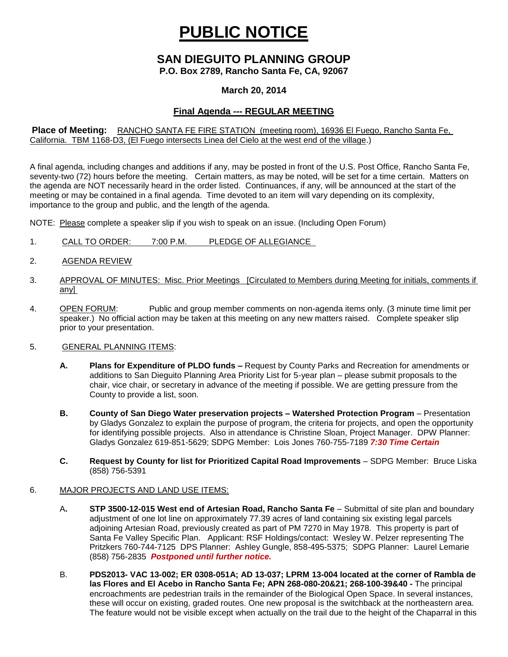# **PUBLIC NOTICE**

# **SAN DIEGUITO PLANNING GROUP**

**P.O. Box 2789, Rancho Santa Fe, CA, 92067**

### **March 20, 2014**

# **Final Agenda --- REGULAR MEETING**

#### **Place of Meeting:** RANCHO SANTA FE FIRE STATION (meeting room), 16936 El Fuego, Rancho Santa Fe, California. TBM 1168-D3, (El Fuego intersects Linea del Cielo at the west end of the village.)

A final agenda, including changes and additions if any, may be posted in front of the U.S. Post Office, Rancho Santa Fe, seventy-two (72) hours before the meeting. Certain matters, as may be noted, will be set for a time certain. Matters on the agenda are NOT necessarily heard in the order listed. Continuances, if any, will be announced at the start of the meeting or may be contained in a final agenda. Time devoted to an item will vary depending on its complexity, importance to the group and public, and the length of the agenda.

NOTE: Please complete a speaker slip if you wish to speak on an issue. (Including Open Forum)

- 1. CALL TO ORDER: 7:00 P.M. PLEDGE OF ALLEGIANCE
- 2. AGENDA REVIEW
- 3. APPROVAL OF MINUTES: Misc. Prior Meetings [Circulated to Members during Meeting for initials, comments if any]
- 4. OPEN FORUM: Public and group member comments on non-agenda items only. (3 minute time limit per speaker.) No official action may be taken at this meeting on any new matters raised. Complete speaker slip prior to your presentation.

#### 5. GENERAL PLANNING ITEMS:

- **A. Plans for Expenditure of PLDO funds –** Request by County Parks and Recreation for amendments or additions to San Dieguito Planning Area Priority List for 5-year plan – please submit proposals to the chair, vice chair, or secretary in advance of the meeting if possible. We are getting pressure from the County to provide a list, soon.
- **B. County of San Diego Water preservation projects – Watershed Protection Program** Presentation by Gladys Gonzalez to explain the purpose of program, the criteria for projects, and open the opportunity for identifying possible projects. Also in attendance is Christine Sloan, Project Manager. DPW Planner: Gladys Gonzalez 619-851-5629; SDPG Member: Lois Jones 760-755-7189 *7:30 Time Certain*
- **C. Request by County for list for Prioritized Capital Road Improvements** SDPG Member: Bruce Liska (858) 756-5391

#### 6. MAJOR PROJECTS AND LAND USE ITEMS:

- A**. STP 3500-12-015 West end of Artesian Road, Rancho Santa Fe** Submittal of site plan and boundary adjustment of one lot line on approximately 77.39 acres of land containing six existing legal parcels adjoining Artesian Road, previously created as part of PM 7270 in May 1978. This property is part of Santa Fe Valley Specific Plan.Applicant: RSF Holdings/contact: Wesley W. Pelzer representing The Pritzkers 760-744-7125 DPS Planner: Ashley Gungle, 858-495-5375; SDPG Planner: Laurel Lemarie (858) 756-2835 *Postponed until further notice.*
- B. **PDS2013- VAC 13-002; ER 0308-051A; AD 13-037; LPRM 13-004 located at the corner of Rambla de las Flores and El Acebo in Rancho Santa Fe; APN 268-080-20&21; 268-100-39&40 -** The principal encroachments are pedestrian trails in the remainder of the Biological Open Space. In several instances, these will occur on existing, graded routes. One new proposal is the switchback at the northeastern area. The feature would not be visible except when actually on the trail due to the height of the Chaparral in this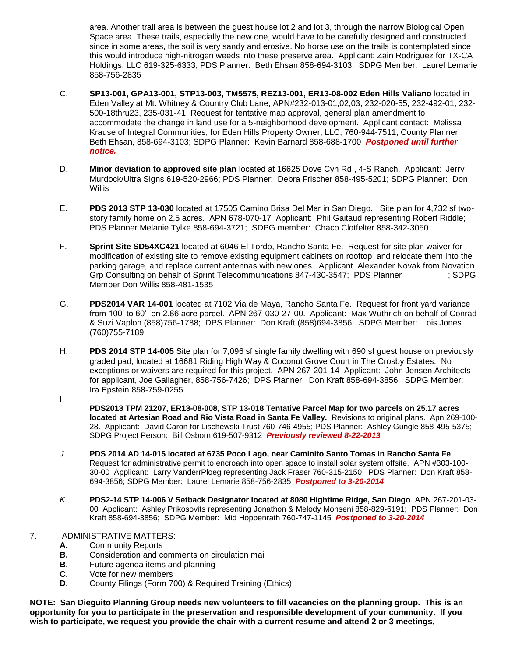area. Another trail area is between the guest house lot 2 and lot 3, through the narrow Biological Open Space area. These trails, especially the new one, would have to be carefully designed and constructed since in some areas, the soil is very sandy and erosive. No horse use on the trails is contemplated since this would introduce high-nitrogen weeds into these preserve area. Applicant: Zain Rodriguez for TX-CA Holdings, LLC 619-325-6333; PDS Planner: Beth Ehsan 858-694-3103; SDPG Member: Laurel Lemarie 858-756-2835

- C. **SP13-001, GPA13-001, STP13-003, TM5575, REZ13-001, ER13-08-002 Eden Hills Valiano** located in Eden Valley at Mt. Whitney & Country Club Lane; APN#232-013-01,02,03, 232-020-55, 232-492-01, 232- 500-18thru23, 235-031-41 Request for tentative map approval, general plan amendment to accommodate the change in land use for a 5-neighborhood development. Applicant contact: Melissa Krause of Integral Communities, for Eden Hills Property Owner, LLC, 760-944-7511; County Planner: Beth Ehsan, 858-694-3103; SDPG Planner: Kevin Barnard 858-688-1700 *Postponed until further notice.*
- D. **Minor deviation to approved site plan** located at 16625 Dove Cyn Rd., 4-S Ranch. Applicant: Jerry Murdock/Ultra Signs 619-520-2966; PDS Planner: Debra Frischer 858-495-5201; SDPG Planner: Don **Willis**
- E. **PDS 2013 STP 13-030** located at 17505 Camino Brisa Del Mar in San Diego. Site plan for 4,732 sf twostory family home on 2.5 acres. APN 678-070-17 Applicant: Phil Gaitaud representing Robert Riddle; PDS Planner Melanie Tylke 858-694-3721; SDPG member: Chaco Clotfelter 858-342-3050
- F. **Sprint Site SD54XC421** located at 6046 El Tordo, Rancho Santa Fe. Request for site plan waiver for modification of existing site to remove existing equipment cabinets on rooftop and relocate them into the parking garage, and replace current antennas with new ones. Applicant Alexander Novak from Novation Grp Consulting on behalf of Sprint Telecommunications 847-430-3547; PDS Planner ; SDPG Member Don Willis 858-481-1535
- G. **PDS2014 VAR 14-001** located at 7102 Via de Maya, Rancho Santa Fe. Request for front yard variance from 100' to 60' on 2.86 acre parcel. APN 267-030-27-00. Applicant: Max Wuthrich on behalf of Conrad & Suzi Vaplon (858)756-1788; DPS Planner: Don Kraft (858)694-3856; SDPG Member: Lois Jones (760)755-7189
- H. **PDS 2014 STP 14-005** Site plan for 7,096 sf single family dwelling with 690 sf guest house on previously graded pad, located at 16681 Riding High Way & Coconut Grove Court in The Crosby Estates. No exceptions or waivers are required for this project. APN 267-201-14 Applicant: John Jensen Architects for applicant, Joe Gallagher, 858-756-7426; DPS Planner: Don Kraft 858-694-3856; SDPG Member: Ira Epstein 858-759-0255
- I.
- **PDS2013 TPM 21207, ER13-08-008, STP 13-018 Tentative Parcel Map for two parcels on 25.17 acres located at Artesian Road and Rio Vista Road in Santa Fe Valley.** Revisions to original plans. Apn 269-100- 28. Applicant: David Caron for Lischewski Trust 760-746-4955; PDS Planner: Ashley Gungle 858-495-5375; SDPG Project Person: Bill Osborn 619-507-9312 *Previously reviewed 8-22-2013*
- *J.* **PDS 2014 AD 14-015 located at 6735 Poco Lago, near Caminito Santo Tomas in Rancho Santa Fe**  Request for administrative permit to encroach into open space to install solar system offsite. APN #303-100- 30-00 Applicant: Larry VanderrPloeg representing Jack Fraser 760-315-2150; PDS Planner: Don Kraft 858- 694-3856; SDPG Member: Laurel Lemarie 858-756-2835 *Postponed to 3-20-2014*
- *K.* **PDS2-14 STP 14-006 V Setback Designator located at 8080 Hightime Ridge, San Diego** APN 267-201-03- 00 Applicant: Ashley Prikosovits representing Jonathon & Melody Mohseni 858-829-6191; PDS Planner: Don Kraft 858-694-3856; SDPG Member: Mid Hoppenrath 760-747-1145 *Postponed to 3-20-2014*

## 7. ADMINISTRATIVE MATTERS:

- **A.** Community Reports
- **B.** Consideration and comments on circulation mail
- **B.** Future agenda items and planning
- **C.** Vote for new members
- **D.** County Filings (Form 700) & Required Training (Ethics)

**NOTE: San Dieguito Planning Group needs new volunteers to fill vacancies on the planning group. This is an opportunity for you to participate in the preservation and responsible development of your community. If you wish to participate, we request you provide the chair with a current resume and attend 2 or 3 meetings,**